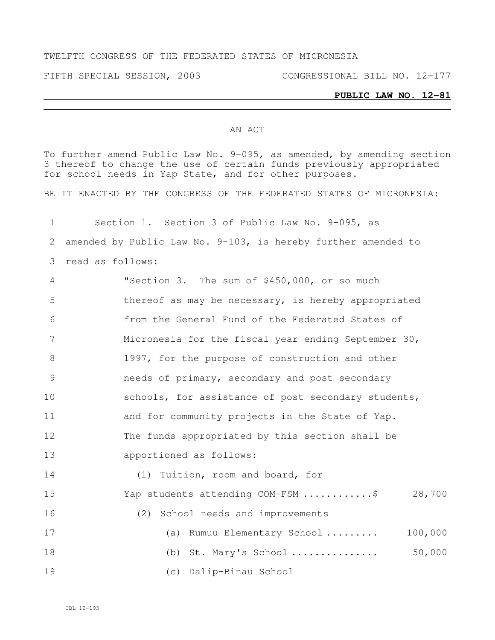## TWELFTH CONGRESS OF THE FEDERATED STATES OF MICRONESIA

FIFTH SPECIAL SESSION, 2003 CONGRESSIONAL BILL NO. 12-177

## **PUBLIC LAW NO. 12-81**

## AN ACT

To further amend Public Law No. 9-095, as amended, by amending section thereof to change the use of certain funds previously appropriated for school needs in Yap State, and for other purposes.

BE IT ENACTED BY THE CONGRESS OF THE FEDERATED STATES OF MICRONESIA:

 Section 1. Section 3 of Public Law No. 9-095, as amended by Public Law No. 9-103, is hereby further amended to read as follows: "Section 3. The sum of \$450,000, or so much thereof as may be necessary, is hereby appropriated from the General Fund of the Federated States of Micronesia for the fiscal year ending September 30, 1997, for the purpose of construction and other needs of primary, secondary and post secondary 10 schools, for assistance of post secondary students, and for community projects in the State of Yap. The funds appropriated by this section shall be apportioned as follows: (1) Tuition, room and board, for Yap students attending COM-FSM ............\$ 28,700 (2) School needs and improvements (a) Rumuu Elementary School ......... 100,000 (b) St. Mary's School ............... 50,000 (c) Dalip-Binau School